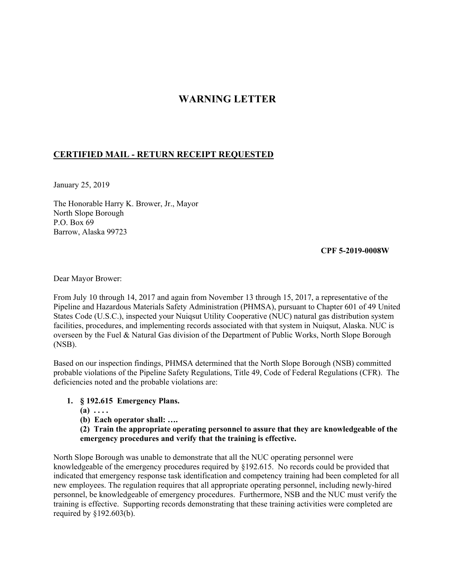## **WARNING LETTER**

## **CERTIFIED MAIL - RETURN RECEIPT REQUESTED**

January 25, 2019

The Honorable Harry K. Brower, Jr., Mayor North Slope Borough P.O. Box 69 Barrow, Alaska 99723

**CPF 5-2019-0008W**

Dear Mayor Brower:

From July 10 through 14, 2017 and again from November 13 through 15, 2017, a representative of the Pipeline and Hazardous Materials Safety Administration (PHMSA), pursuant to Chapter 601 of 49 United States Code (U.S.C.), inspected your Nuiqsut Utility Cooperative (NUC) natural gas distribution system facilities, procedures, and implementing records associated with that system in Nuiqsut, Alaska. NUC is overseen by the Fuel & Natural Gas division of the Department of Public Works, North Slope Borough (NSB).

Based on our inspection findings, PHMSA determined that the North Slope Borough (NSB) committed probable violations of the Pipeline Safety Regulations, Title 49, Code of Federal Regulations (CFR). The deficiencies noted and the probable violations are:

## **1. § 192.615 Emergency Plans.**

- **(a) . . . .**
- **(b) Each operator shall: ….**

**(2) Train the appropriate operating personnel to assure that they are knowledgeable of the emergency procedures and verify that the training is effective.**

 knowledgeable of the emergency procedures required by §192.615. No records could be provided that North Slope Borough was unable to demonstrate that all the NUC operating personnel were indicated that emergency response task identification and competency training had been completed for all new employees. The regulation requires that all appropriate operating personnel, including newly-hired personnel, be knowledgeable of emergency procedures. Furthermore, NSB and the NUC must verify the training is effective. Supporting records demonstrating that these training activities were completed are required by §192.603(b).